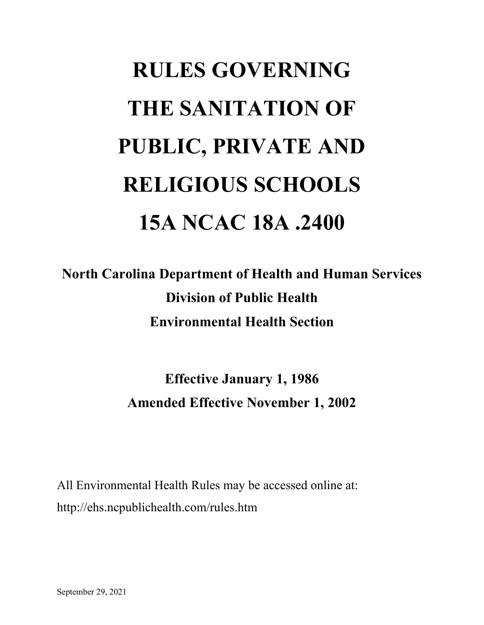# **RULES GOVERNING THE SANITATION OF PUBLIC, PRIVATE AND RELIGIOUS SCHOOLS 15A NCAC 18A .2400**

**North Carolina Department of Health and Human Services Division of Public Health Environmental Health Section**

> **Effective January 1, 1986 Amended Effective November 1, 2002**

All Environmental Health Rules may be accessed online at: http://ehs.ncpublichealth.com/rules.htm

September 29, 2021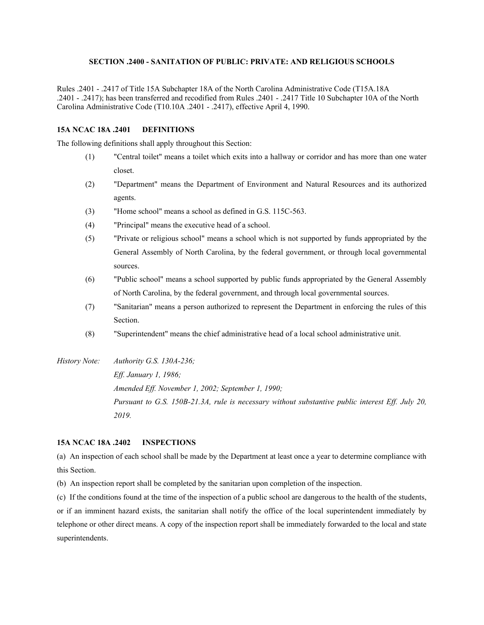# **SECTION .2400 - SANITATION OF PUBLIC: PRIVATE: AND RELIGIOUS SCHOOLS**

Rules .2401 - .2417 of Title 15A Subchapter 18A of the North Carolina Administrative Code (T15A.18A .2401 - .2417); has been transferred and recodified from Rules .2401 - .2417 Title 10 Subchapter 10A of the North Carolina Administrative Code (T10.10A .2401 - .2417), effective April 4, 1990.

# **15A NCAC 18A .2401 DEFINITIONS**

The following definitions shall apply throughout this Section:

- (1) "Central toilet" means a toilet which exits into a hallway or corridor and has more than one water closet.
- (2) "Department" means the Department of Environment and Natural Resources and its authorized agents.
- (3) "Home school" means a school as defined in G.S. 115C-563.
- (4) "Principal" means the executive head of a school.
- (5) "Private or religious school" means a school which is not supported by funds appropriated by the General Assembly of North Carolina, by the federal government, or through local governmental sources.
- (6) "Public school" means a school supported by public funds appropriated by the General Assembly of North Carolina, by the federal government, and through local governmental sources.
- (7) "Sanitarian" means a person authorized to represent the Department in enforcing the rules of this Section.
- (8) "Superintendent" means the chief administrative head of a local school administrative unit.
- *History Note: Authority G.S. 130A-236;*

*Eff. January 1, 1986; Amended Eff. November 1, 2002; September 1, 1990; Pursuant to G.S. 150B-21.3A, rule is necessary without substantive public interest Eff. July 20, 2019.*

# **15A NCAC 18A .2402 INSPECTIONS**

(a) An inspection of each school shall be made by the Department at least once a year to determine compliance with this Section.

(b) An inspection report shall be completed by the sanitarian upon completion of the inspection.

(c) If the conditions found at the time of the inspection of a public school are dangerous to the health of the students, or if an imminent hazard exists, the sanitarian shall notify the office of the local superintendent immediately by telephone or other direct means. A copy of the inspection report shall be immediately forwarded to the local and state superintendents.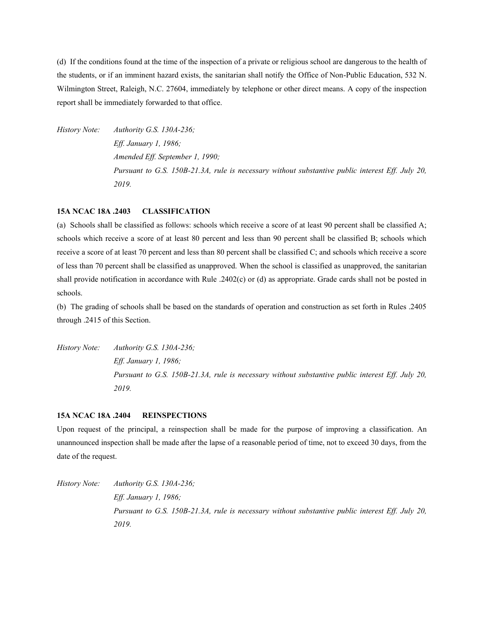(d) If the conditions found at the time of the inspection of a private or religious school are dangerous to the health of the students, or if an imminent hazard exists, the sanitarian shall notify the Office of Non-Public Education, 532 N. Wilmington Street, Raleigh, N.C. 27604, immediately by telephone or other direct means. A copy of the inspection report shall be immediately forwarded to that office.

*History Note: Authority G.S. 130A-236; Eff. January 1, 1986; Amended Eff. September 1, 1990; Pursuant to G.S. 150B-21.3A, rule is necessary without substantive public interest Eff. July 20, 2019.*

#### **15A NCAC 18A .2403 CLASSIFICATION**

(a) Schools shall be classified as follows: schools which receive a score of at least 90 percent shall be classified A; schools which receive a score of at least 80 percent and less than 90 percent shall be classified B; schools which receive a score of at least 70 percent and less than 80 percent shall be classified C; and schools which receive a score of less than 70 percent shall be classified as unapproved. When the school is classified as unapproved, the sanitarian shall provide notification in accordance with Rule .2402(c) or (d) as appropriate. Grade cards shall not be posted in schools.

(b) The grading of schools shall be based on the standards of operation and construction as set forth in Rules .2405 through .2415 of this Section.

*History Note: Authority G.S. 130A-236; Eff. January 1, 1986; Pursuant to G.S. 150B-21.3A, rule is necessary without substantive public interest Eff. July 20, 2019.*

#### **15A NCAC 18A .2404 REINSPECTIONS**

Upon request of the principal, a reinspection shall be made for the purpose of improving a classification. An unannounced inspection shall be made after the lapse of a reasonable period of time, not to exceed 30 days, from the date of the request.

*History Note: Authority G.S. 130A-236; Eff. January 1, 1986; Pursuant to G.S. 150B-21.3A, rule is necessary without substantive public interest Eff. July 20, 2019.*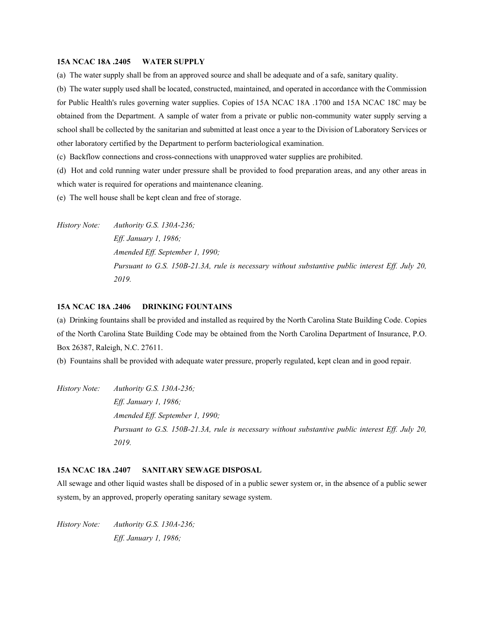#### **15A NCAC 18A .2405 WATER SUPPLY**

(a) The water supply shall be from an approved source and shall be adequate and of a safe, sanitary quality.

(b) The water supply used shall be located, constructed, maintained, and operated in accordance with the Commission for Public Health's rules governing water supplies. Copies of 15A NCAC 18A .1700 and 15A NCAC 18C may be obtained from the Department. A sample of water from a private or public non-community water supply serving a school shall be collected by the sanitarian and submitted at least once a year to the Division of Laboratory Services or other laboratory certified by the Department to perform bacteriological examination.

(c) Backflow connections and cross-connections with unapproved water supplies are prohibited.

(d) Hot and cold running water under pressure shall be provided to food preparation areas, and any other areas in which water is required for operations and maintenance cleaning.

(e) The well house shall be kept clean and free of storage.

*History Note: Authority G.S. 130A-236; Eff. January 1, 1986; Amended Eff. September 1, 1990; Pursuant to G.S. 150B-21.3A, rule is necessary without substantive public interest Eff. July 20, 2019.*

#### **15A NCAC 18A .2406 DRINKING FOUNTAINS**

(a) Drinking fountains shall be provided and installed as required by the North Carolina State Building Code. Copies of the North Carolina State Building Code may be obtained from the North Carolina Department of Insurance, P.O. Box 26387, Raleigh, N.C. 27611.

(b) Fountains shall be provided with adequate water pressure, properly regulated, kept clean and in good repair.

*History Note: Authority G.S. 130A-236; Eff. January 1, 1986; Amended Eff. September 1, 1990; Pursuant to G.S. 150B-21.3A, rule is necessary without substantive public interest Eff. July 20, 2019.*

# **15A NCAC 18A .2407 SANITARY SEWAGE DISPOSAL**

All sewage and other liquid wastes shall be disposed of in a public sewer system or, in the absence of a public sewer system, by an approved, properly operating sanitary sewage system.

*History Note: Authority G.S. 130A-236; Eff. January 1, 1986;*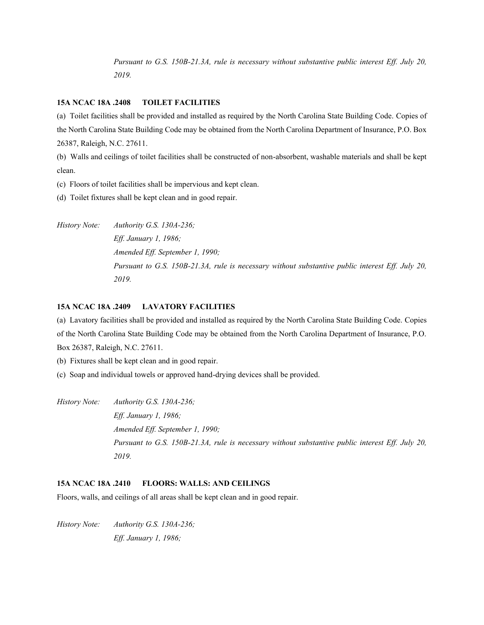*Pursuant to G.S. 150B-21.3A, rule is necessary without substantive public interest Eff. July 20, 2019.*

# **15A NCAC 18A .2408 TOILET FACILITIES**

(a) Toilet facilities shall be provided and installed as required by the North Carolina State Building Code. Copies of the North Carolina State Building Code may be obtained from the North Carolina Department of Insurance, P.O. Box 26387, Raleigh, N.C. 27611.

(b) Walls and ceilings of toilet facilities shall be constructed of non-absorbent, washable materials and shall be kept clean.

(c) Floors of toilet facilities shall be impervious and kept clean.

(d) Toilet fixtures shall be kept clean and in good repair.

*History Note: Authority G.S. 130A-236; Eff. January 1, 1986; Amended Eff. September 1, 1990; Pursuant to G.S. 150B-21.3A, rule is necessary without substantive public interest Eff. July 20, 2019.*

#### **15A NCAC 18A .2409 LAVATORY FACILITIES**

(a) Lavatory facilities shall be provided and installed as required by the North Carolina State Building Code. Copies of the North Carolina State Building Code may be obtained from the North Carolina Department of Insurance, P.O. Box 26387, Raleigh, N.C. 27611.

(b) Fixtures shall be kept clean and in good repair.

- (c) Soap and individual towels or approved hand-drying devices shall be provided.
- *History Note: Authority G.S. 130A-236; Eff. January 1, 1986; Amended Eff. September 1, 1990; Pursuant to G.S. 150B-21.3A, rule is necessary without substantive public interest Eff. July 20, 2019.*

#### **15A NCAC 18A .2410 FLOORS: WALLS: AND CEILINGS**

Floors, walls, and ceilings of all areas shall be kept clean and in good repair.

*History Note: Authority G.S. 130A-236; Eff. January 1, 1986;*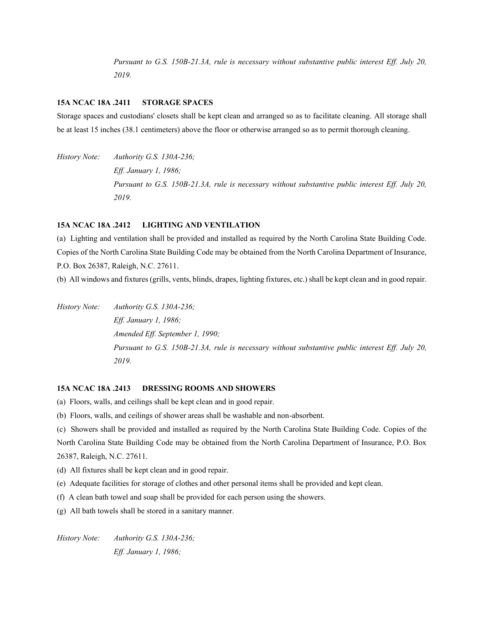*Pursuant to G.S. 150B-21.3A, rule is necessary without substantive public interest Eff. July 20, 2019.*

#### **15A NCAC 18A .2411 STORAGE SPACES**

Storage spaces and custodians' closets shall be kept clean and arranged so as to facilitate cleaning. All storage shall be at least 15 inches (38.1 centimeters) above the floor or otherwise arranged so as to permit thorough cleaning.

*History Note: Authority G.S. 130A-236; Eff. January 1, 1986; Pursuant to G.S. 150B-21.3A, rule is necessary without substantive public interest Eff. July 20, 2019.*

#### **15A NCAC 18A .2412 LIGHTING AND VENTILATION**

(a) Lighting and ventilation shall be provided and installed as required by the North Carolina State Building Code. Copies of the North Carolina State Building Code may be obtained from the North Carolina Department of Insurance, P.O. Box 26387, Raleigh, N.C. 27611.

(b) All windows and fixtures (grills, vents, blinds, drapes, lighting fixtures, etc.) shall be kept clean and in good repair.

*History Note: Authority G.S. 130A-236; Eff. January 1, 1986; Amended Eff. September 1, 1990; Pursuant to G.S. 150B-21.3A, rule is necessary without substantive public interest Eff. July 20, 2019.*

#### **15A NCAC 18A .2413 DRESSING ROOMS AND SHOWERS**

(a) Floors, walls, and ceilings shall be kept clean and in good repair.

(b) Floors, walls, and ceilings of shower areas shall be washable and non-absorbent.

(c) Showers shall be provided and installed as required by the North Carolina State Building Code. Copies of the North Carolina State Building Code may be obtained from the North Carolina Department of Insurance, P.O. Box 26387, Raleigh, N.C. 27611.

- (d) All fixtures shall be kept clean and in good repair.
- (e) Adequate facilities for storage of clothes and other personal items shall be provided and kept clean.
- (f) A clean bath towel and soap shall be provided for each person using the showers.
- (g) All bath towels shall be stored in a sanitary manner.

*History Note: Authority G.S. 130A-236; Eff. January 1, 1986;*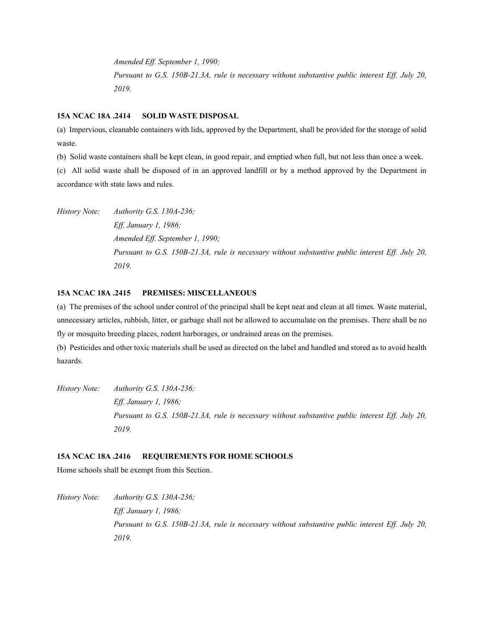*Amended Eff. September 1, 1990; Pursuant to G.S. 150B-21.3A, rule is necessary without substantive public interest Eff. July 20, 2019.*

#### **15A NCAC 18A .2414 SOLID WASTE DISPOSAL**

(a) Impervious, cleanable containers with lids, approved by the Department, shall be provided for the storage of solid waste.

(b) Solid waste containers shall be kept clean, in good repair, and emptied when full, but not less than once a week.

(c) All solid waste shall be disposed of in an approved landfill or by a method approved by the Department in accordance with state laws and rules.

*History Note: Authority G.S. 130A-236; Eff. January 1, 1986; Amended Eff. September 1, 1990; Pursuant to G.S. 150B-21.3A, rule is necessary without substantive public interest Eff. July 20, 2019.*

# **15A NCAC 18A .2415 PREMISES: MISCELLANEOUS**

(a) The premises of the school under control of the principal shall be kept neat and clean at all times. Waste material, unnecessary articles, rubbish, litter, or garbage shall not be allowed to accumulate on the premises. There shall be no fly or mosquito breeding places, rodent harborages, or undrained areas on the premises.

(b) Pesticides and other toxic materials shall be used as directed on the label and handled and stored as to avoid health hazards.

*History Note: Authority G.S. 130A-236; Eff. January 1, 1986; Pursuant to G.S. 150B-21.3A, rule is necessary without substantive public interest Eff. July 20, 2019.*

# **15A NCAC 18A .2416 REQUIREMENTS FOR HOME SCHOOLS**

Home schools shall be exempt from this Section.

*History Note: Authority G.S. 130A-236; Eff. January 1, 1986; Pursuant to G.S. 150B-21.3A, rule is necessary without substantive public interest Eff. July 20, 2019.*